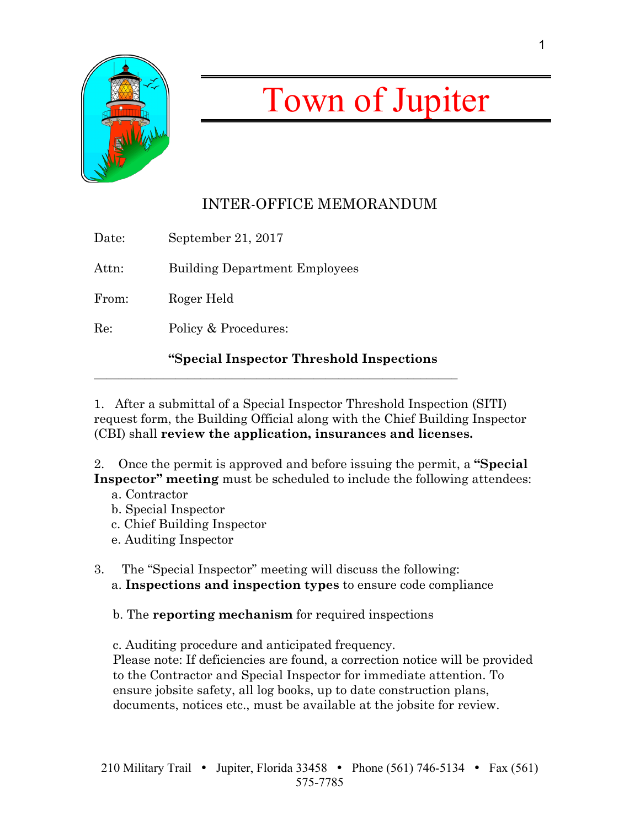

## Town of Jupiter

## INTER-OFFICE MEMORANDUM

|       | "Special Inspector Threshold Inspections" |
|-------|-------------------------------------------|
| Re:   | Policy & Procedures:                      |
| From: | Roger Held                                |
| Attn: | <b>Building Department Employees</b>      |
| Date: | September 21, 2017                        |

\_\_\_\_\_\_\_\_\_\_\_\_\_\_\_\_\_\_\_\_\_\_\_\_\_\_\_\_\_\_\_\_\_\_\_\_\_\_\_\_\_\_\_\_\_\_\_\_\_\_\_\_\_\_\_\_\_\_

1. After a submittal of a Special Inspector Threshold Inspection (SITI) request form, the Building Official along with the Chief Building Inspector (CBI) shall **review the application, insurances and licenses.**

2. Once the permit is approved and before issuing the permit, a **"Special Inspector" meeting** must be scheduled to include the following attendees:

- a. Contractor
- b. Special Inspector
- c. Chief Building Inspector
- e. Auditing Inspector
- 3. The "Special Inspector" meeting will discuss the following: a. **Inspections and inspection types** to ensure code compliance

b. The **reporting mechanism** for required inspections

c. Auditing procedure and anticipated frequency.

Please note: If deficiencies are found, a correction notice will be provided to the Contractor and Special Inspector for immediate attention. To ensure jobsite safety, all log books, up to date construction plans, documents, notices etc., must be available at the jobsite for review.